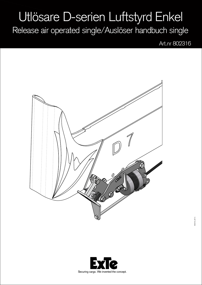## Utlösare D-serien Luftstyrd Enkel

Release air operated single/Auslöser handbuch single

Art.nr 802316